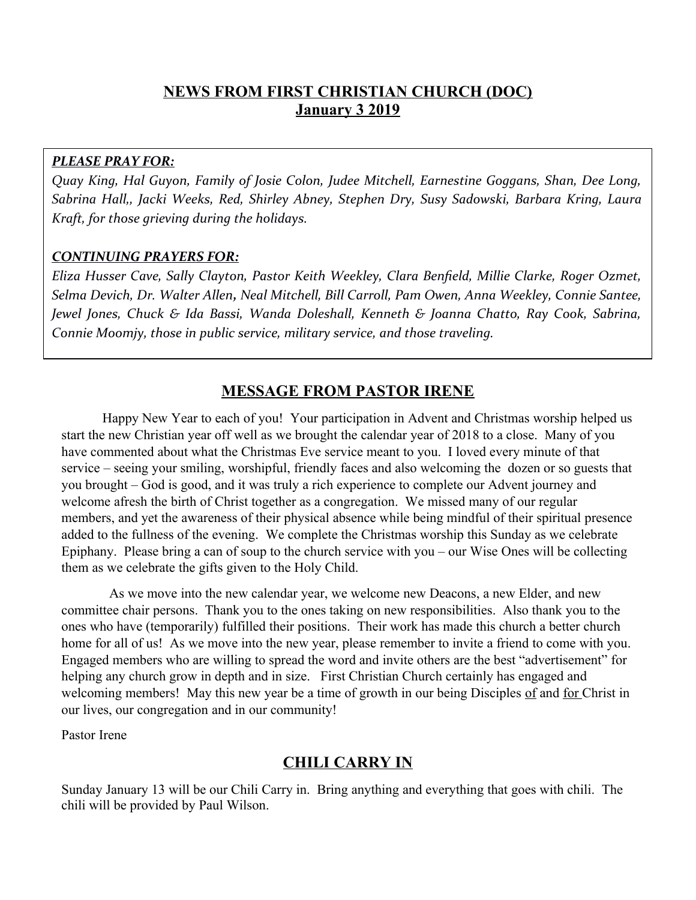# **NEWS FROM FIRST CHRISTIAN CHURCH (DOC) January 3 2019**

#### *PLEASE PRAY FOR:*

*Quay King, Hal Guyon, Family of Josie Colon, Judee Mitchell, Earnestine Goggans, Shan, Dee Long, Sabrina Hall,, Jacki Weeks, Red, Shirley Abney, Stephen Dry, Susy Sadowski, Barbara Kring, Laura Kraft, for those grieving during the holidays.*

#### *CONTINUING PRAYERS FOR:*

*Eliza Husser Cave, Sally Clayton, Pastor Keith Weekley, Clara Benfeld, Millie Clarke, Roger Ozmet, Selma Devich, Dr. Walter Allen, Neal Mitchell, Bill Carroll, Pam Owen, Anna Weekley, Connie Santee, Jewel Jones, Chuck & Ida Bassi, Wanda Doleshall, Kenneth & Joanna Chatto, Ray Cook, Sabrina, Connie Moomjy, those in public service, military service, and those traveling.*

# **MESSAGE FROM PASTOR IRENE**

Happy New Year to each of you! Your participation in Advent and Christmas worship helped us start the new Christian year off well as we brought the calendar year of 2018 to a close. Many of you have commented about what the Christmas Eve service meant to you. I loved every minute of that service – seeing your smiling, worshipful, friendly faces and also welcoming the dozen or so guests that you brought – God is good, and it was truly a rich experience to complete our Advent journey and welcome afresh the birth of Christ together as a congregation. We missed many of our regular members, and yet the awareness of their physical absence while being mindful of their spiritual presence added to the fullness of the evening. We complete the Christmas worship this Sunday as we celebrate Epiphany. Please bring a can of soup to the church service with you – our Wise Ones will be collecting them as we celebrate the gifts given to the Holy Child.

 As we move into the new calendar year, we welcome new Deacons, a new Elder, and new committee chair persons. Thank you to the ones taking on new responsibilities. Also thank you to the ones who have (temporarily) fulfilled their positions. Their work has made this church a better church home for all of us! As we move into the new year, please remember to invite a friend to come with you. Engaged members who are willing to spread the word and invite others are the best "advertisement" for helping any church grow in depth and in size. First Christian Church certainly has engaged and welcoming members! May this new year be a time of growth in our being Disciples of and for Christ in our lives, our congregation and in our community!

Pastor Irene

# **CHILI CARRY IN**

Sunday January 13 will be our Chili Carry in. Bring anything and everything that goes with chili. The chili will be provided by Paul Wilson.